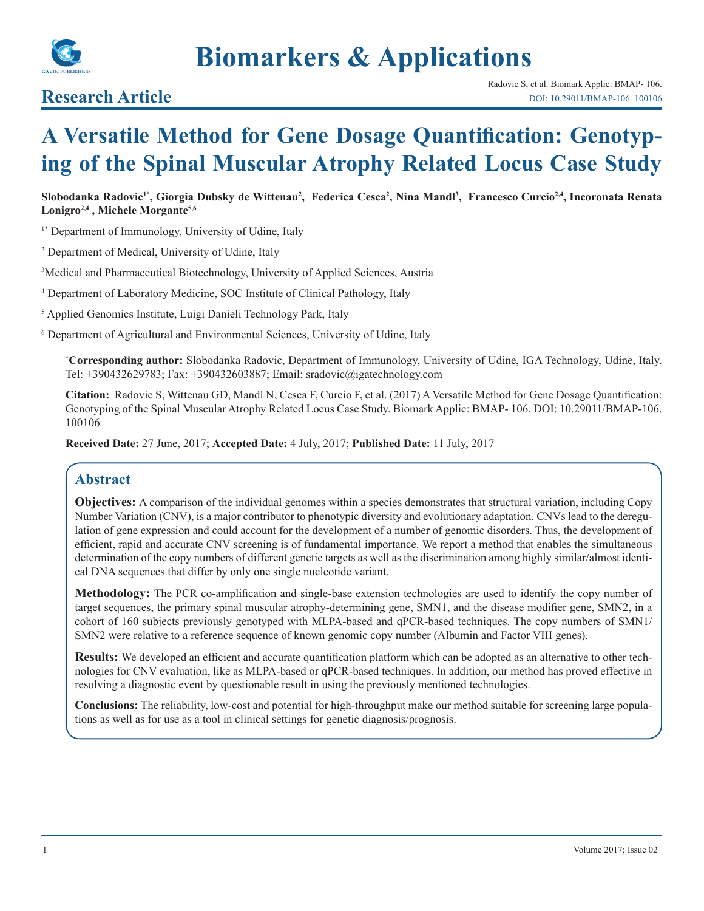

# **Biomarkers & Applications**

## **Research Article**

## **A Versatile Method for Gene Dosage Quantification: Genotyping of the Spinal Muscular Atrophy Related Locus Case Study**

**Slobodanka Radovic1\*, Giorgia Dubsky de Wittenau<sup>2</sup> , Federica Cesca<sup>2</sup> , Nina Mandl3 , Francesco Curcio2,4, Incoronata Renata Lonigro2,4 , Michele Morgante5,6** 

<sup>1\*</sup> Department of Immunology, University of Udine, Italy

2 Department of Medical, University of Udine, Italy

3 Medical and Pharmaceutical Biotechnology, University of Applied Sciences, Austria

4 Department of Laboratory Medicine, SOC Institute of Clinical Pathology, Italy

5 Applied Genomics Institute, Luigi Danieli Technology Park, Italy

<sup>6</sup> Department of Agricultural and Environmental Sciences, University of Udine, Italy

**\* Corresponding author:** Slobodanka Radovic, Department of Immunology, University of Udine, IGA Technology, Udine, Italy. Tel: +390432629783; Fax: +390432603887; Email: sradovic@igatechnology.com

**Citation:** Radovic S, Wittenau GD, Mandl N, Cesca F, Curcio F, et al. (2017) A Versatile Method for Gene Dosage Quantification: Genotyping of the Spinal Muscular Atrophy Related Locus Case Study. Biomark Applic: BMAP- 106. DOI: 10.29011/BMAP-106. 100106

**Received Date:** 27 June, 2017; **Accepted Date:** 4 July, 2017; **Published Date:** 11 July, 2017

## **Abstract**

**Objectives:** A comparison of the individual genomes within a species demonstrates that structural variation, including Copy Number Variation (CNV), is a major contributor to phenotypic diversity and evolutionary adaptation. CNVs lead to the deregulation of gene expression and could account for the development of a number of genomic disorders. Thus, the development of efficient, rapid and accurate CNV screening is of fundamental importance. We report a method that enables the simultaneous determination of the copy numbers of different genetic targets as well as the discrimination among highly similar/almost identical DNA sequences that differ by only one single nucleotide variant.

**Methodology:** The PCR co-amplification and single-base extension technologies are used to identify the copy number of target sequences, the primary spinal muscular atrophy-determining gene, SMN1, and the disease modifier gene, SMN2, in a cohort of 160 subjects previously genotyped with MLPA-based and qPCR-based techniques. The copy numbers of SMN1/ SMN2 were relative to a reference sequence of known genomic copy number (Albumin and Factor VIII genes).

**Results:** We developed an efficient and accurate quantification platform which can be adopted as an alternative to other technologies for CNV evaluation, like as MLPA-based or qPCR-based techniques. In addition, our method has proved effective in resolving a diagnostic event by questionable result in using the previously mentioned technologies.

**Conclusions:** The reliability, low-cost and potential for high-throughput make our method suitable for screening large populations as well as for use as a tool in clinical settings for genetic diagnosis/prognosis.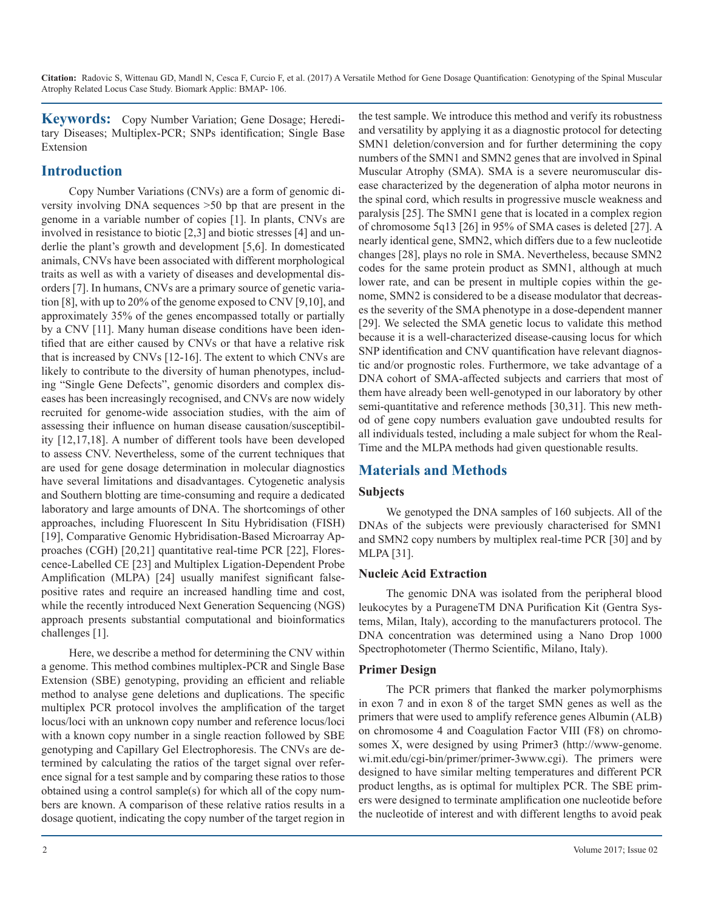**Keywords:** Copy Number Variation; Gene Dosage; Hereditary Diseases; Multiplex-PCR; SNPs identification; Single Base Extension

## **Introduction**

Copy Number Variations (CNVs) are a form of genomic diversity involving DNA sequences >50 bp that are present in the genome in a variable number of copies [1]. In plants, CNVs are involved in resistance to biotic [2,3] and biotic stresses [4] and underlie the plant's growth and development [5,6]. In domesticated animals, CNVs have been associated with different morphological traits as well as with a variety of diseases and developmental disorders [7]. In humans, CNVs are a primary source of genetic variation [8], with up to 20% of the genome exposed to CNV [9,10], and approximately 35% of the genes encompassed totally or partially by a CNV [11]. Many human disease conditions have been identified that are either caused by CNVs or that have a relative risk that is increased by CNVs [12-16]. The extent to which CNVs are likely to contribute to the diversity of human phenotypes, including "Single Gene Defects", genomic disorders and complex diseases has been increasingly recognised, and CNVs are now widely recruited for genome-wide association studies, with the aim of assessing their influence on human disease causation/susceptibility [12,17,18]. A number of different tools have been developed to assess CNV. Nevertheless, some of the current techniques that are used for gene dosage determination in molecular diagnostics have several limitations and disadvantages. Cytogenetic analysis and Southern blotting are time-consuming and require a dedicated laboratory and large amounts of DNA. The shortcomings of other approaches, including Fluorescent In Situ Hybridisation (FISH) [19], Comparative Genomic Hybridisation-Based Microarray Approaches (CGH) [20,21] quantitative real-time PCR [22], Florescence-Labelled CE [23] and Multiplex Ligation-Dependent Probe Amplification (MLPA) [24] usually manifest significant falsepositive rates and require an increased handling time and cost, while the recently introduced Next Generation Sequencing (NGS) approach presents substantial computational and bioinformatics challenges [1].

Here, we describe a method for determining the CNV within a genome. This method combines multiplex-PCR and Single Base Extension (SBE) genotyping, providing an efficient and reliable method to analyse gene deletions and duplications. The specific multiplex PCR protocol involves the amplification of the target locus/loci with an unknown copy number and reference locus/loci with a known copy number in a single reaction followed by SBE genotyping and Capillary Gel Electrophoresis. The CNVs are determined by calculating the ratios of the target signal over reference signal for a test sample and by comparing these ratios to those obtained using a control sample(s) for which all of the copy numbers are known. A comparison of these relative ratios results in a dosage quotient, indicating the copy number of the target region in the test sample. We introduce this method and verify its robustness and versatility by applying it as a diagnostic protocol for detecting SMN1 deletion/conversion and for further determining the copy numbers of the SMN1 and SMN2 genes that are involved in Spinal Muscular Atrophy (SMA). SMA is a severe neuromuscular disease characterized by the degeneration of alpha motor neurons in the spinal cord, which results in progressive muscle weakness and paralysis [25]. The SMN1 gene that is located in a complex region of chromosome 5q13 [26] in 95% of SMA cases is deleted [27]. A nearly identical gene, SMN2, which differs due to a few nucleotide changes [28], plays no role in SMA. Nevertheless, because SMN2 codes for the same protein product as SMN1, although at much lower rate, and can be present in multiple copies within the genome, SMN2 is considered to be a disease modulator that decreases the severity of the SMA phenotype in a dose-dependent manner [29]. We selected the SMA genetic locus to validate this method because it is a well-characterized disease-causing locus for which SNP identification and CNV quantification have relevant diagnostic and/or prognostic roles. Furthermore, we take advantage of a DNA cohort of SMA-affected subjects and carriers that most of them have already been well-genotyped in our laboratory by other semi-quantitative and reference methods [30,31]. This new method of gene copy numbers evaluation gave undoubted results for all individuals tested, including a male subject for whom the Real-Time and the MLPA methods had given questionable results.

## **Materials and Methods**

#### **Subjects**

We genotyped the DNA samples of 160 subjects. All of the DNAs of the subjects were previously characterised for SMN1 and SMN2 copy numbers by multiplex real-time PCR [30] and by MLPA [31].

#### **Nucleic Acid Extraction**

The genomic DNA was isolated from the peripheral blood leukocytes by a PurageneTM DNA Purification Kit (Gentra Systems, Milan, Italy), according to the manufacturers protocol. The DNA concentration was determined using a Nano Drop 1000 Spectrophotometer (Thermo Scientific, Milano, Italy).

#### **Primer Design**

The PCR primers that flanked the marker polymorphisms in exon 7 and in exon 8 of the target SMN genes as well as the primers that were used to amplify reference genes Albumin (ALB) on chromosome 4 and Coagulation Factor VIII (F8) on chromosomes X, were designed by using Primer3 (http://www-genome. wi.mit.edu/cgi-bin/primer/primer-3www.cgi). The primers were designed to have similar melting temperatures and different PCR product lengths, as is optimal for multiplex PCR. The SBE primers were designed to terminate amplification one nucleotide before the nucleotide of interest and with different lengths to avoid peak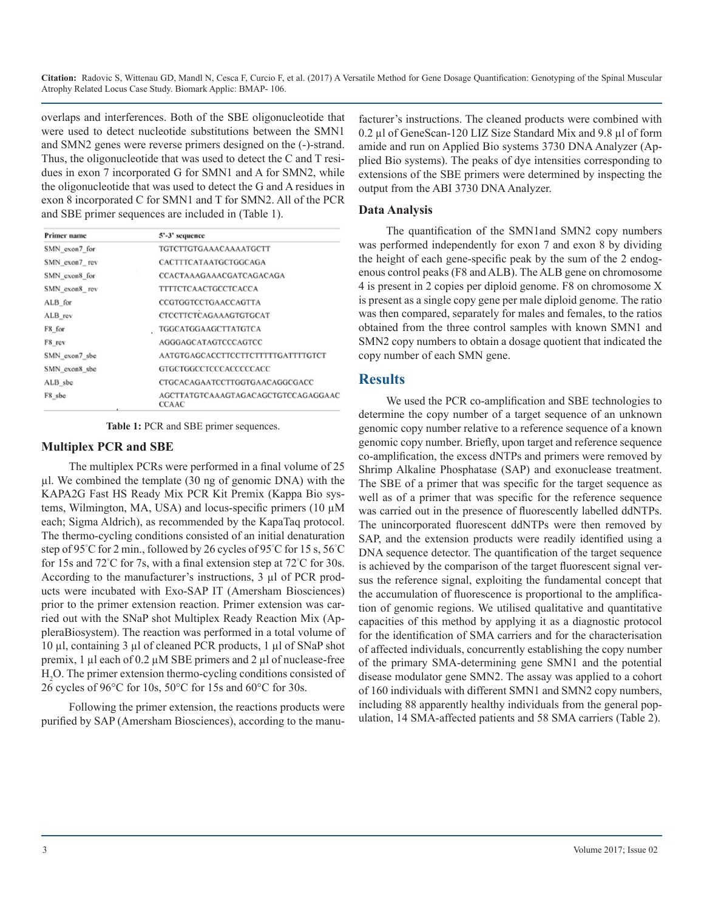overlaps and interferences. Both of the SBE oligonucleotide that were used to detect nucleotide substitutions between the SMN1 and SMN2 genes were reverse primers designed on the (-)-strand. Thus, the oligonucleotide that was used to detect the C and T residues in exon 7 incorporated G for SMN1 and A for SMN2, while the oligonucleotide that was used to detect the G and A residues in exon 8 incorporated C for SMN1 and T for SMN2. All of the PCR and SBE primer sequences are included in (Table 1).

| <b>Primer name</b> | 5'-3' sequence                                      |  |  |  |
|--------------------|-----------------------------------------------------|--|--|--|
| SMN exon7 for      | TGTCTTGTGAAACAAAATGCTT                              |  |  |  |
| SMN_exon7_rev      | CACTTTCATAATGCTGGCAGA                               |  |  |  |
| SMN exon8 for      | CCACTAAAGAAACGATCAGACAGA                            |  |  |  |
| SMN exon8 rev      | <b>TITTCTCAACTGCCTCACCA</b>                         |  |  |  |
| ALB for            | CCGTGGTCCTGAACCAGTTA                                |  |  |  |
| ALB rev            | <b>CTCCTTCTCAGAAAGTGTGCAT</b>                       |  |  |  |
| F8 for             | TGGCATGGAAGCTTATGTCA                                |  |  |  |
| F8 rev             | AGGGAGCATAGTCCCAGTCC                                |  |  |  |
| SMN exon7 sbc      | AATGTGAGCACCTTCCTTCTTTTTGATTTTGTCT                  |  |  |  |
| SMN exon8 sbe      | GTGCTGGCCTCCCACCCCCACC                              |  |  |  |
| ALB sbe            | CTGCACAGAATCCTTGGTGAACAGGCGACC                      |  |  |  |
| F8 sbc             | AGCTTATGTCAAAGTAGACAGCTGTCCAGAGGAAC<br><b>CCAAC</b> |  |  |  |

**Table 1:** PCR and SBE primer sequences.

#### **Multiplex PCR and SBE**

The multiplex PCRs were performed in a final volume of 25 µl. We combined the template (30 ng of genomic DNA) with the KAPA2G Fast HS Ready Mix PCR Kit Premix (Kappa Bio systems, Wilmington, MA, USA) and locus-specific primers (10 µM each; Sigma Aldrich), as recommended by the KapaTaq protocol. The thermo-cycling conditions consisted of an initial denaturation step of 95° C for 2 min., followed by 26 cycles of 95° C for 15 s, 56° C for 15s and 72°C for 7s, with a final extension step at 72°C for 30s. According to the manufacturer's instructions, 3 µl of PCR products were incubated with Exo-SAP IT (Amersham Biosciences) prior to the primer extension reaction. Primer extension was carried out with the SNaP shot Multiplex Ready Reaction Mix (AppleraBiosystem). The reaction was performed in a total volume of 10 µl, containing 3 µl of cleaned PCR products, 1 µl of SNaP shot premix, 1  $\mu$ l each of 0.2  $\mu$ M SBE primers and 2  $\mu$ l of nuclease-free H2 O. The primer extension thermo-cycling conditions consisted of 26 cycles of 96°C for 10s, 50°C for 15s and 60°C for 30s.

Following the primer extension, the reactions products were purified by SAP (Amersham Biosciences), according to the manu-

facturer's instructions. The cleaned products were combined with 0.2 µl of GeneScan-120 LIZ Size Standard Mix and 9.8 µl of form amide and run on Applied Bio systems 3730 DNA Analyzer (Applied Bio systems). The peaks of dye intensities corresponding to extensions of the SBE primers were determined by inspecting the output from the ABI 3730 DNA Analyzer.

#### **Data Analysis**

The quantification of the SMN1and SMN2 copy numbers was performed independently for exon 7 and exon 8 by dividing the height of each gene-specific peak by the sum of the 2 endogenous control peaks (F8 and ALB). The ALB gene on chromosome 4 is present in 2 copies per diploid genome. F8 on chromosome X is present as a single copy gene per male diploid genome. The ratio was then compared, separately for males and females, to the ratios obtained from the three control samples with known SMN1 and SMN2 copy numbers to obtain a dosage quotient that indicated the copy number of each SMN gene.

### **Results**

We used the PCR co-amplification and SBE technologies to determine the copy number of a target sequence of an unknown genomic copy number relative to a reference sequence of a known genomic copy number. Briefly, upon target and reference sequence co-amplification, the excess dNTPs and primers were removed by Shrimp Alkaline Phosphatase (SAP) and exonuclease treatment. The SBE of a primer that was specific for the target sequence as well as of a primer that was specific for the reference sequence was carried out in the presence of fluorescently labelled ddNTPs. The unincorporated fluorescent ddNTPs were then removed by SAP, and the extension products were readily identified using a DNA sequence detector. The quantification of the target sequence is achieved by the comparison of the target fluorescent signal versus the reference signal, exploiting the fundamental concept that the accumulation of fluorescence is proportional to the amplification of genomic regions. We utilised qualitative and quantitative capacities of this method by applying it as a diagnostic protocol for the identification of SMA carriers and for the characterisation of affected individuals, concurrently establishing the copy number of the primary SMA-determining gene SMN1 and the potential disease modulator gene SMN2. The assay was applied to a cohort of 160 individuals with different SMN1 and SMN2 copy numbers, including 88 apparently healthy individuals from the general population, 14 SMA-affected patients and 58 SMA carriers (Table 2).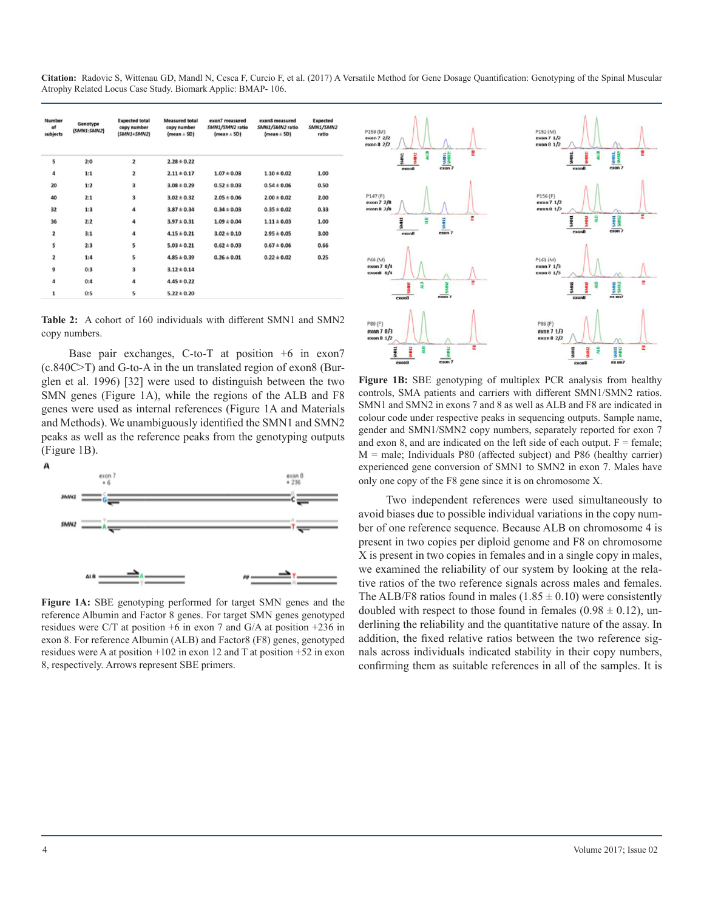**Citation:** Radovic S, Wittenau GD, Mandl N, Cesca F, Curcio F, et al. (2017) A Versatile Method for Gene Dosage Quantification: Genotyping of the Spinal Muscular Atrophy Related Locus Case Study. Biomark Applic: BMAP- 106.

| Number<br>of<br>subjects | Genotype<br>(SMN1:SMN2) | <b>Expected total</b><br>copy number<br>(SMN1+SMN2) | <b>Measured total</b><br>copy number<br>$(mean \pm SD)$ | exon7 measured<br>SMN1/SMN2 ratio<br>$(mean \pm SD)$ | exon8 measured<br>SMN1/SMN2 ratio<br>$(mean \pm SD)$ | <b>Expected</b><br>SMN1/SMN2<br>ratio |
|--------------------------|-------------------------|-----------------------------------------------------|---------------------------------------------------------|------------------------------------------------------|------------------------------------------------------|---------------------------------------|
| s                        | 2:0                     | $\overline{\mathbf{z}}$                             | $2.28 \pm 0.22$                                         |                                                      |                                                      |                                       |
| $\ddot{\bf{a}}$          | 1:1                     | $\overline{\mathbf{z}}$                             | $2.11 \pm 0.17$                                         | $1.07 \pm 0.03$                                      | $1.10 \pm 0.02$                                      | 1.00                                  |
| 20                       | 1:2                     | 3                                                   | $3.08 \pm 0.29$                                         | $0.52 \pm 0.03$                                      | $0.54 \pm 0.06$                                      | 0.50                                  |
| 40                       | 2:1                     | 3                                                   | $3.02 \pm 0.32$                                         | $2.05 \pm 0.06$                                      | $2.00 \pm 0.02$                                      | 2.00                                  |
| 32                       | 1:3                     | 4                                                   | $3.87 \pm 0.34$                                         | $0.34 \pm 0.03$                                      | $0.35 \pm 0.02$                                      | 0.33                                  |
| 36                       | 2:2                     | 4                                                   | $3.97 \pm 0.31$                                         | $1.09 \pm 0.04$                                      | $1.11 \pm 0.03$                                      | 1.00                                  |
| $\overline{\mathbf{2}}$  | 3:1                     | 4                                                   | $4.15 \pm 0.21$                                         | $3.02 \pm 0.10$                                      | $2.95 \pm 0.05$                                      | 3.00                                  |
| 5                        | 2:3                     | 5                                                   | $5.03 \pm 0.21$                                         | $0.62 \pm 0.03$                                      | $0.67 \pm 0.06$                                      | 0.66                                  |
| $\overline{\mathbf{z}}$  | 1:4                     | 5                                                   | $4.85 \pm 0.39$                                         | $0.26 \pm 0.01$                                      | $0.22 \pm 0.02$                                      | 0.25                                  |
| 9                        | 0:3                     | 3                                                   | $3.12 \pm 0.14$                                         |                                                      |                                                      |                                       |
| $\ddot{a}$               | 0:4                     | 4                                                   | $4.45 \pm 0.22$                                         |                                                      |                                                      |                                       |
| $\mathbf{1}$             | 0:5                     | 5                                                   | $5.22 \pm 0.20$                                         |                                                      |                                                      |                                       |

**Table 2:** A cohort of 160 individuals with different SMN1 and SMN2 copy numbers.

Base pair exchanges, C-to-T at position +6 in exon7 (c.840C>T) and G-to-A in the un translated region of exon8 (Burglen et al. 1996) [32] were used to distinguish between the two SMN genes (Figure 1A), while the regions of the ALB and F8 genes were used as internal references (Figure 1A and Materials and Methods). We unambiguously identified the SMN1 and SMN2 peaks as well as the reference peaks from the genotyping outputs (Figure 1B).



**Figure 1A:** SBE genotyping performed for target SMN genes and the reference Albumin and Factor 8 genes. For target SMN genes genotyped residues were C/T at position +6 in exon 7 and G/A at position +236 in exon 8. For reference Albumin (ALB) and Factor8 (F8) genes, genotyped residues were A at position +102 in exon 12 and T at position +52 in exon 8, respectively. Arrows represent SBE primers.



**Figure 1B:** SBE genotyping of multiplex PCR analysis from healthy controls, SMA patients and carriers with different SMN1/SMN2 ratios. SMN1 and SMN2 in exons 7 and 8 as well as ALB and F8 are indicated in colour code under respective peaks in sequencing outputs. Sample name, gender and SMN1/SMN2 copy numbers, separately reported for exon 7 and exon 8, and are indicated on the left side of each output.  $F =$  female; M = male; Individuals P80 (affected subject) and P86 (healthy carrier) experienced gene conversion of SMN1 to SMN2 in exon 7. Males have only one copy of the F8 gene since it is on chromosome X.

Two independent references were used simultaneously to avoid biases due to possible individual variations in the copy number of one reference sequence. Because ALB on chromosome 4 is present in two copies per diploid genome and F8 on chromosome X is present in two copies in females and in a single copy in males, we examined the reliability of our system by looking at the relative ratios of the two reference signals across males and females. The ALB/F8 ratios found in males  $(1.85 \pm 0.10)$  were consistently doubled with respect to those found in females  $(0.98 \pm 0.12)$ , underlining the reliability and the quantitative nature of the assay. In addition, the fixed relative ratios between the two reference signals across individuals indicated stability in their copy numbers, confirming them as suitable references in all of the samples. It is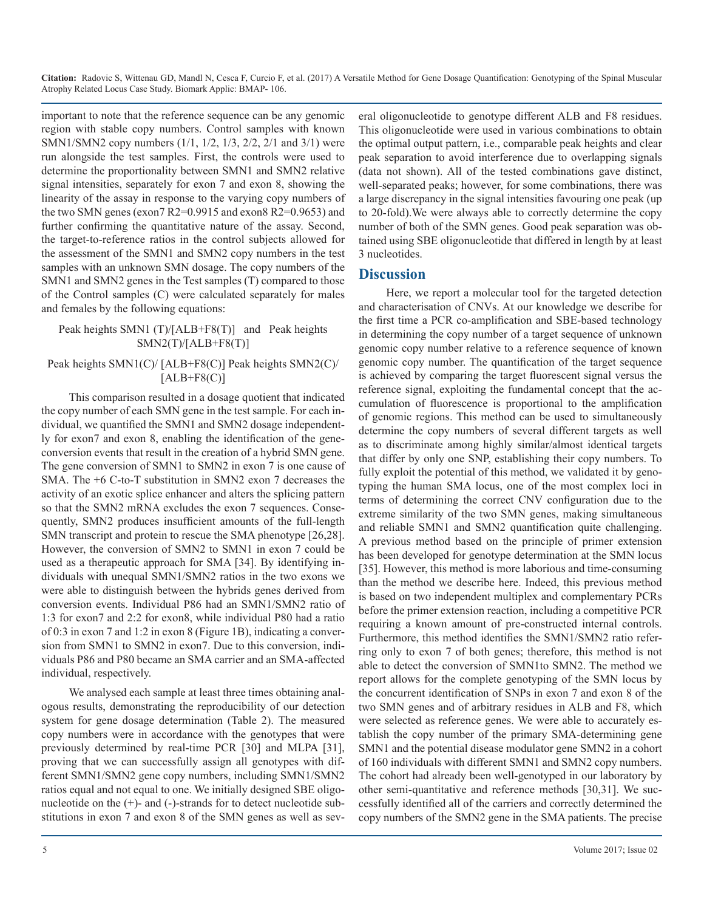important to note that the reference sequence can be any genomic region with stable copy numbers. Control samples with known SMN1/SMN2 copy numbers (1/1, 1/2, 1/3, 2/2, 2/1 and 3/1) were run alongside the test samples. First, the controls were used to determine the proportionality between SMN1 and SMN2 relative signal intensities, separately for exon 7 and exon 8, showing the linearity of the assay in response to the varying copy numbers of the two SMN genes (exon  $7 \text{ R}2 = 0.9915$  and exon  $8 \text{ R}2 = 0.9653$ ) and further confirming the quantitative nature of the assay. Second, the target-to-reference ratios in the control subjects allowed for the assessment of the SMN1 and SMN2 copy numbers in the test samples with an unknown SMN dosage. The copy numbers of the SMN1 and SMN2 genes in the Test samples (T) compared to those of the Control samples (C) were calculated separately for males and females by the following equations:

#### Peak heights SMN1 (T)/[ALB+F8(T)] and Peak heights  $SMN2(T)/[ALB+F8(T)]$

#### Peak heights SMN1(C)/ [ALB+F8(C)] Peak heights SMN2(C)/  $[ALB+F8(C)]$

This comparison resulted in a dosage quotient that indicated the copy number of each SMN gene in the test sample. For each individual, we quantified the SMN1 and SMN2 dosage independently for exon7 and exon 8, enabling the identification of the geneconversion events that result in the creation of a hybrid SMN gene. The gene conversion of SMN1 to SMN2 in exon 7 is one cause of SMA. The +6 C-to-T substitution in SMN2 exon 7 decreases the activity of an exotic splice enhancer and alters the splicing pattern so that the SMN2 mRNA excludes the exon 7 sequences. Consequently, SMN2 produces insufficient amounts of the full-length SMN transcript and protein to rescue the SMA phenotype [26,28]. However, the conversion of SMN2 to SMN1 in exon 7 could be used as a therapeutic approach for SMA [34]. By identifying individuals with unequal SMN1/SMN2 ratios in the two exons we were able to distinguish between the hybrids genes derived from conversion events. Individual P86 had an SMN1/SMN2 ratio of 1:3 for exon7 and 2:2 for exon8, while individual P80 had a ratio of 0:3 in exon 7 and 1:2 in exon 8 (Figure 1B), indicating a conversion from SMN1 to SMN2 in exon7. Due to this conversion, individuals P86 and P80 became an SMA carrier and an SMA-affected individual, respectively.

We analysed each sample at least three times obtaining analogous results, demonstrating the reproducibility of our detection system for gene dosage determination (Table 2). The measured copy numbers were in accordance with the genotypes that were previously determined by real-time PCR [30] and MLPA [31], proving that we can successfully assign all genotypes with different SMN1/SMN2 gene copy numbers, including SMN1/SMN2 ratios equal and not equal to one. We initially designed SBE oligonucleotide on the (+)- and (-)-strands for to detect nucleotide substitutions in exon 7 and exon 8 of the SMN genes as well as several oligonucleotide to genotype different ALB and F8 residues. This oligonucleotide were used in various combinations to obtain the optimal output pattern, i.e., comparable peak heights and clear peak separation to avoid interference due to overlapping signals (data not shown). All of the tested combinations gave distinct, well-separated peaks; however, for some combinations, there was a large discrepancy in the signal intensities favouring one peak (up to 20-fold).We were always able to correctly determine the copy number of both of the SMN genes. Good peak separation was obtained using SBE oligonucleotide that differed in length by at least 3 nucleotides.

## **Discussion**

Here, we report a molecular tool for the targeted detection and characterisation of CNVs. At our knowledge we describe for the first time a PCR co-amplification and SBE-based technology in determining the copy number of a target sequence of unknown genomic copy number relative to a reference sequence of known genomic copy number. The quantification of the target sequence is achieved by comparing the target fluorescent signal versus the reference signal, exploiting the fundamental concept that the accumulation of fluorescence is proportional to the amplification of genomic regions. This method can be used to simultaneously determine the copy numbers of several different targets as well as to discriminate among highly similar/almost identical targets that differ by only one SNP, establishing their copy numbers. To fully exploit the potential of this method, we validated it by genotyping the human SMA locus, one of the most complex loci in terms of determining the correct CNV configuration due to the extreme similarity of the two SMN genes, making simultaneous and reliable SMN1 and SMN2 quantification quite challenging. A previous method based on the principle of primer extension has been developed for genotype determination at the SMN locus [35]. However, this method is more laborious and time-consuming than the method we describe here. Indeed, this previous method is based on two independent multiplex and complementary PCRs before the primer extension reaction, including a competitive PCR requiring a known amount of pre-constructed internal controls. Furthermore, this method identifies the SMN1/SMN2 ratio referring only to exon 7 of both genes; therefore, this method is not able to detect the conversion of SMN1to SMN2. The method we report allows for the complete genotyping of the SMN locus by the concurrent identification of SNPs in exon 7 and exon 8 of the two SMN genes and of arbitrary residues in ALB and F8, which were selected as reference genes. We were able to accurately establish the copy number of the primary SMA-determining gene SMN1 and the potential disease modulator gene SMN2 in a cohort of 160 individuals with different SMN1 and SMN2 copy numbers. The cohort had already been well-genotyped in our laboratory by other semi-quantitative and reference methods [30,31]. We successfully identified all of the carriers and correctly determined the copy numbers of the SMN2 gene in the SMA patients. The precise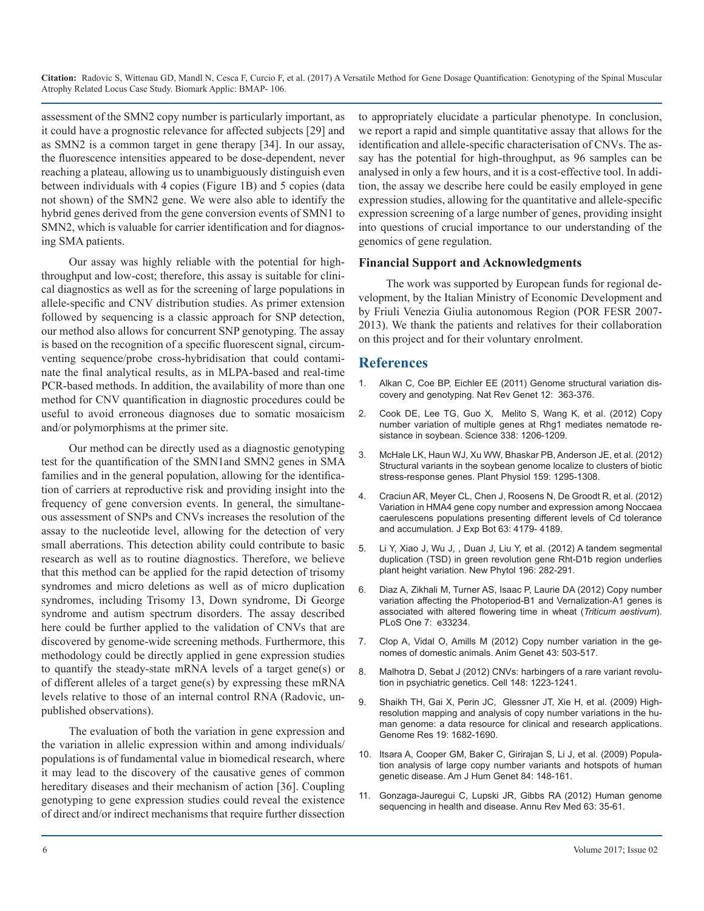assessment of the SMN2 copy number is particularly important, as it could have a prognostic relevance for affected subjects [29] and as SMN2 is a common target in gene therapy [34]. In our assay, the fluorescence intensities appeared to be dose-dependent, never reaching a plateau, allowing us to unambiguously distinguish even between individuals with 4 copies (Figure 1B) and 5 copies (data not shown) of the SMN2 gene. We were also able to identify the hybrid genes derived from the gene conversion events of SMN1 to SMN2, which is valuable for carrier identification and for diagnosing SMA patients.

Our assay was highly reliable with the potential for highthroughput and low-cost; therefore, this assay is suitable for clinical diagnostics as well as for the screening of large populations in allele-specific and CNV distribution studies. As primer extension followed by sequencing is a classic approach for SNP detection, our method also allows for concurrent SNP genotyping. The assay is based on the recognition of a specific fluorescent signal, circumventing sequence/probe cross-hybridisation that could contaminate the final analytical results, as in MLPA-based and real-time PCR-based methods. In addition, the availability of more than one method for CNV quantification in diagnostic procedures could be useful to avoid erroneous diagnoses due to somatic mosaicism and/or polymorphisms at the primer site.

Our method can be directly used as a diagnostic genotyping test for the quantification of the SMN1and SMN2 genes in SMA families and in the general population, allowing for the identification of carriers at reproductive risk and providing insight into the frequency of gene conversion events. In general, the simultaneous assessment of SNPs and CNVs increases the resolution of the assay to the nucleotide level, allowing for the detection of very small aberrations. This detection ability could contribute to basic research as well as to routine diagnostics. Therefore, we believe that this method can be applied for the rapid detection of trisomy syndromes and micro deletions as well as of micro duplication syndromes, including Trisomy 13, Down syndrome, Di George syndrome and autism spectrum disorders. The assay described here could be further applied to the validation of CNVs that are discovered by genome-wide screening methods. Furthermore, this methodology could be directly applied in gene expression studies to quantify the steady-state mRNA levels of a target gene(s) or of different alleles of a target gene(s) by expressing these mRNA levels relative to those of an internal control RNA (Radovic, unpublished observations).

The evaluation of both the variation in gene expression and the variation in allelic expression within and among individuals/ populations is of fundamental value in biomedical research, where it may lead to the discovery of the causative genes of common hereditary diseases and their mechanism of action [36]. Coupling genotyping to gene expression studies could reveal the existence of direct and/or indirect mechanisms that require further dissection

to appropriately elucidate a particular phenotype. In conclusion, we report a rapid and simple quantitative assay that allows for the identification and allele-specific characterisation of CNVs. The assay has the potential for high-throughput, as 96 samples can be analysed in only a few hours, and it is a cost-effective tool. In addition, the assay we describe here could be easily employed in gene expression studies, allowing for the quantitative and allele-specific expression screening of a large number of genes, providing insight into questions of crucial importance to our understanding of the genomics of gene regulation.

#### **Financial Support and Acknowledgments**

The work was supported by European funds for regional development, by the Italian Ministry of Economic Development and by Friuli Venezia Giulia autonomous Region (POR FESR 2007- 2013). We thank the patients and relatives for their collaboration on this project and for their voluntary enrolment.

### **References**

- 1. [Alkan C, Coe BP, Eichler EE \(2011\) Genome structural variation dis](https://www.ncbi.nlm.nih.gov/pubmed/21358748)covery and genotyping. Nat Rev Genet 12: 363-376.
- 2. [Cook DE, Lee TG, Guo X,](https://www.ncbi.nlm.nih.gov/pubmed/23065905) Melito S, Wang K, et al. (2012) Copy [number variation of multiple genes at Rhg1 mediates nematode re](https://www.ncbi.nlm.nih.gov/pubmed/23065905)[sistance in soybean. Science 338: 1206-1209.](https://www.ncbi.nlm.nih.gov/pubmed/23065905)
- 3. [McHale LK, Haun WJ, Xu WW, Bhaskar PB,](https://www.ncbi.nlm.nih.gov/pubmed/22696021) Anderson JE, et al. (2012) [Structural variants in the soybean genome localize to clusters of biotic](https://www.ncbi.nlm.nih.gov/pubmed/22696021)  [stress-response genes. Plant Physiol 159: 1295-1308.](https://www.ncbi.nlm.nih.gov/pubmed/22696021)
- 4. [Craciun AR, Meyer CL, Chen J, Roosens N,](https://www.ncbi.nlm.nih.gov/pubmed/22581842) De Groodt R, et al. (2012) [Variation in HMA4 gene copy number and expression among Noccaea](https://www.ncbi.nlm.nih.gov/pubmed/22581842) [caerulescens populations presenting different levels of Cd tolerance](https://www.ncbi.nlm.nih.gov/pubmed/22581842)  [and accumulation. J Exp Bot 63: 4179- 4189.](https://www.ncbi.nlm.nih.gov/pubmed/22581842)
- 5. Li Y, Xiao J, Wu J, , Duan J, Liu Y, [et al. \(2012\) A tandem segmental](https://www.ncbi.nlm.nih.gov/pubmed/22849513)  [duplication \(TSD\) in green revolution gene Rht-D1b region underlies](https://www.ncbi.nlm.nih.gov/pubmed/22849513)  [plant height variation. New Phytol 196: 282-291.](https://www.ncbi.nlm.nih.gov/pubmed/22849513)
- 6. [Diaz A, Zikhali M, Turner AS, Isaac P,](https://www.ncbi.nlm.nih.gov/pubmed/22457747) Laurie DA (2012) Copy number [variation affecting the Photoperiod-B1 and Vernalization-A1 genes is](https://www.ncbi.nlm.nih.gov/pubmed/22457747)  [associated with altered flowering time in wheat \(](https://www.ncbi.nlm.nih.gov/pubmed/22457747)*Triticum aestivum*). [PLoS One 7: e33234.](https://www.ncbi.nlm.nih.gov/pubmed/22457747)
- 7. [Clop A, Vidal O, Amills M \(2012\) Copy number variation in the ge](https://www.ncbi.nlm.nih.gov/pubmed/22497594)nomes of domestic animals. Anim Genet 43: 503-517.
- 8. [Malhotra D, Sebat J \(2012\) CNVs: harbingers of a rare variant revolu](https://www.ncbi.nlm.nih.gov/pubmed/22424231)tion in psychiatric genetics. Cell 148: 1223-1241.
- 9. [Shaikh TH, Gai X, Perin JC, Glessner JT,](https://www.ncbi.nlm.nih.gov/pubmed/19592680) Xie H, et al. (2009) High[resolution mapping and analysis of copy number variations in the hu](https://www.ncbi.nlm.nih.gov/pubmed/19592680)[man genome: a data resource for clinical and research applications.](https://www.ncbi.nlm.nih.gov/pubmed/19592680)  [Genome Res 19: 1682-1690.](https://www.ncbi.nlm.nih.gov/pubmed/19592680)
- 10. [Itsara A, Cooper GM, Baker C, Girirajan S,](https://www.ncbi.nlm.nih.gov/pubmed/19166990) Li J, et al. (2009) Popula[tion analysis of large copy number variants and hotspots of human](https://www.ncbi.nlm.nih.gov/pubmed/19166990) [genetic disease. Am J Hum Genet 84: 148-161.](https://www.ncbi.nlm.nih.gov/pubmed/19166990)
- 11. [Gonzaga-Jauregui C, Lupski JR, Gibbs RA \(2012\) Human genome](https://www.ncbi.nlm.nih.gov/pubmed/22248320)  sequencing in health and disease. Annu Rev Med 63: 35-61.